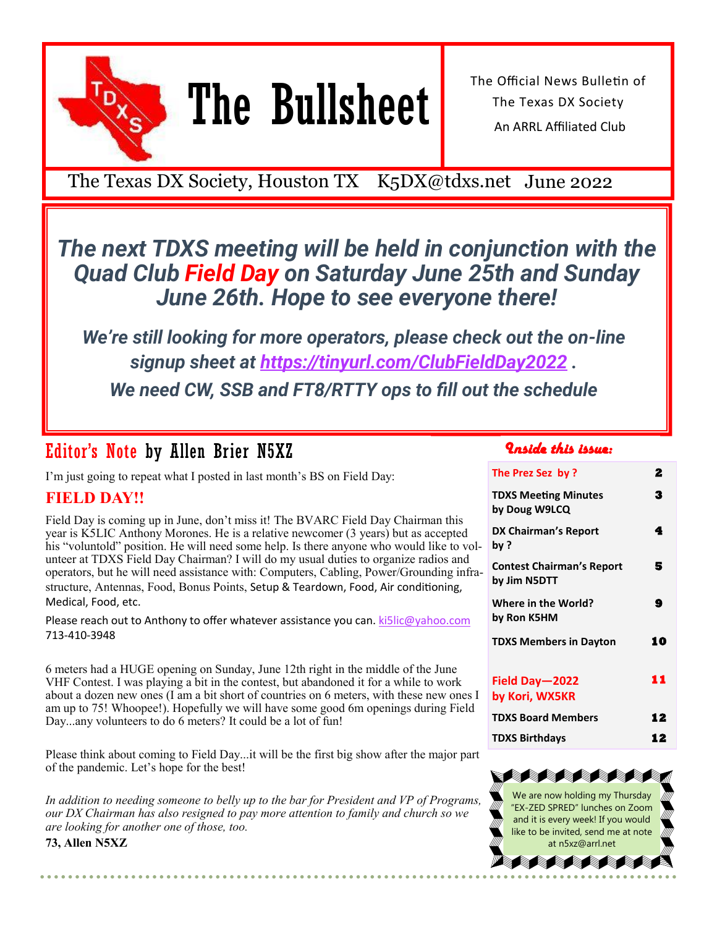

# The Bullsheet

The Official News Bulletin of The Texas DX Society An ARRL Affiliated Club

The Texas DX Society, Houston TX K5DX@tdxs.net June 2022

## *The next TDXS meeting will be held in conjunction with the Quad Club Field Day on Saturday June 25th and Sunday June 26th. Hope to see everyone there!*

*We're still looking for more operators, please check out the on-line signup sheet at <https://tinyurl.com/ClubFieldDay2022> . We need CW, SSB and FT8/RTTY ops to fill out the schedule*

## Editor's Note by Allen Brier N5XZ

I'm just going to repeat what I posted in last month's BS on Field Day:

### **FIELD DAY!!**

Field Day is coming up in June, don't miss it! The BVARC Field Day Chairman this year is K5LIC Anthony Morones. He is a relative newcomer (3 years) but as accepted his "voluntold" position. He will need some help. Is there anyone who would like to volunteer at TDXS Field Day Chairman? I will do my usual duties to organize radios and operators, but he will need assistance with: Computers, Cabling, Power/Grounding infrastructure, Antennas, Food, Bonus Points, Setup & Teardown, Food, Air conditioning, Medical, Food, etc.

Please reach out to Anthony to offer whatever assistance you can.  $\text{kislic@vahoo.com}$ 713-410-3948

6 meters had a HUGE opening on Sunday, June 12th right in the middle of the June VHF Contest. I was playing a bit in the contest, but abandoned it for a while to work about a dozen new ones (I am a bit short of countries on 6 meters, with these new ones I am up to 75! Whoopee!). Hopefully we will have some good 6m openings during Field Day...any volunteers to do 6 meters? It could be a lot of fun!

Please think about coming to Field Day...it will be the first big show after the major part of the pandemic. Let's hope for the best!

*In addition to needing someone to belly up to the bar for President and VP of Programs, our DX Chairman has also resigned to pay more attention to family and church so we are looking for another one of those, too.*

**73, Allen N5XZ**

### *Inside this issue:*

| The Prez Sez by ?                                | 2  |
|--------------------------------------------------|----|
| <b>TDXS Meeting Minutes</b><br>by Doug W9LCQ     | 3  |
| DX Chairman's Report<br>bv ?                     | 4  |
| <b>Contest Chairman's Report</b><br>by Jim N5DTT | 5  |
| Where in the World?<br>by Ron K5HM               | 9  |
| <b>TDXS Members in Dayton</b>                    | 10 |
| Field Day-2022<br>by Kori, WX5KR                 | 11 |
| <b>TDXS Board Members</b>                        | 12 |
| <b>TDXS Birthdavs</b>                            | 12 |

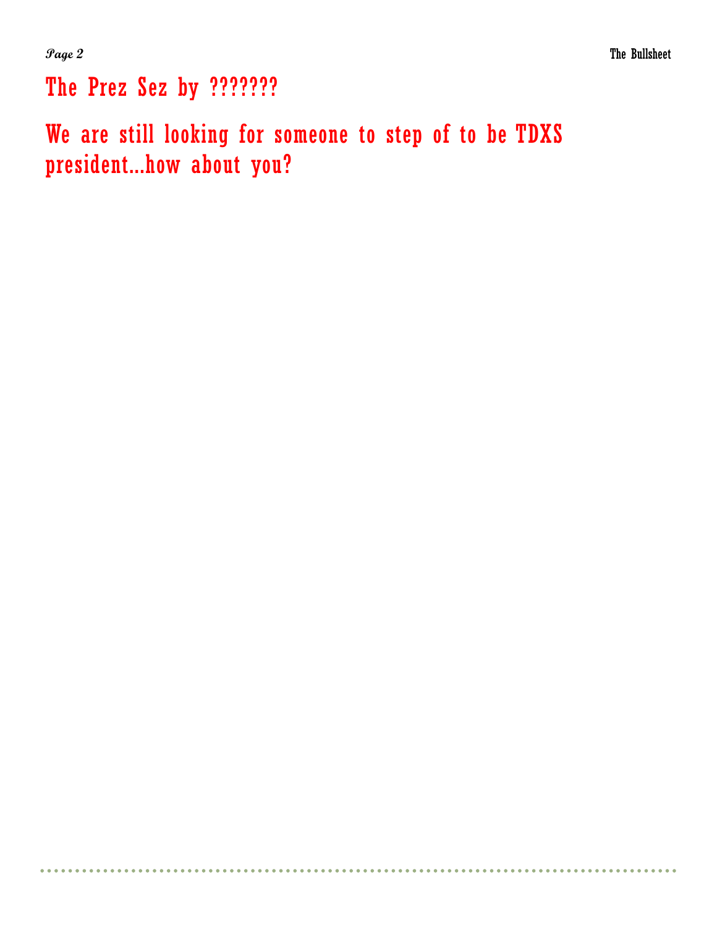The Prez Sez by ???????

We are still looking for someone to step of to be TDXS president...how about you?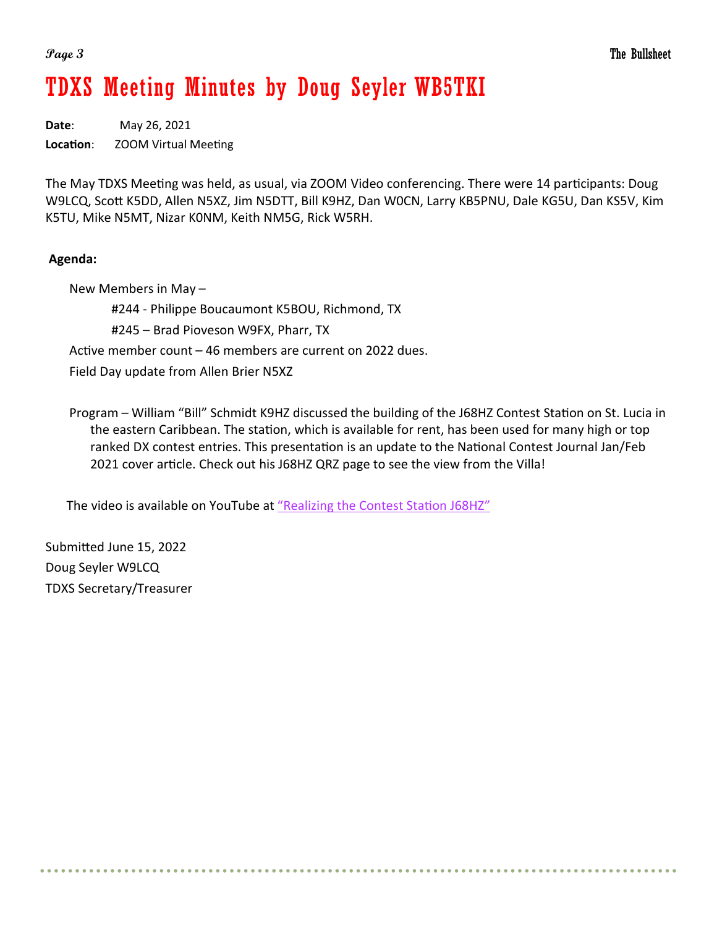## TDXS Meeting Minutes by Doug Seyler WB5TKI

**Date**: May 26, 2021 **Location**: ZOOM Virtual Meeting

The May TDXS Meeting was held, as usual, via ZOOM Video conferencing. There were 14 participants: Doug W9LCQ, Scott K5DD, Allen N5XZ, Jim N5DTT, Bill K9HZ, Dan W0CN, Larry KB5PNU, Dale KG5U, Dan KS5V, Kim K5TU, Mike N5MT, Nizar K0NM, Keith NM5G, Rick W5RH.

### **Agenda:**

New Members in May – #244 - Philippe Boucaumont K5BOU, Richmond, TX #245 – Brad Pioveson W9FX, Pharr, TX Active member count – 46 members are current on 2022 dues. Field Day update from Allen Brier N5XZ

Program – William "Bill" Schmidt K9HZ discussed the building of the J68HZ Contest Station on St. Lucia in the eastern Caribbean. The station, which is available for rent, has been used for many high or top ranked DX contest entries. This presentation is an update to the National Contest Journal Jan/Feb 2021 cover article. Check out his J68HZ QRZ page to see the view from the Villa!

The video is available on YouTube at "[Realizing the Contest Station J68HZ](https://www.youtube.com/watch?v=e5n6xLfpv74)"

Submitted June 15, 2022 Doug Seyler W9LCQ TDXS Secretary/Treasurer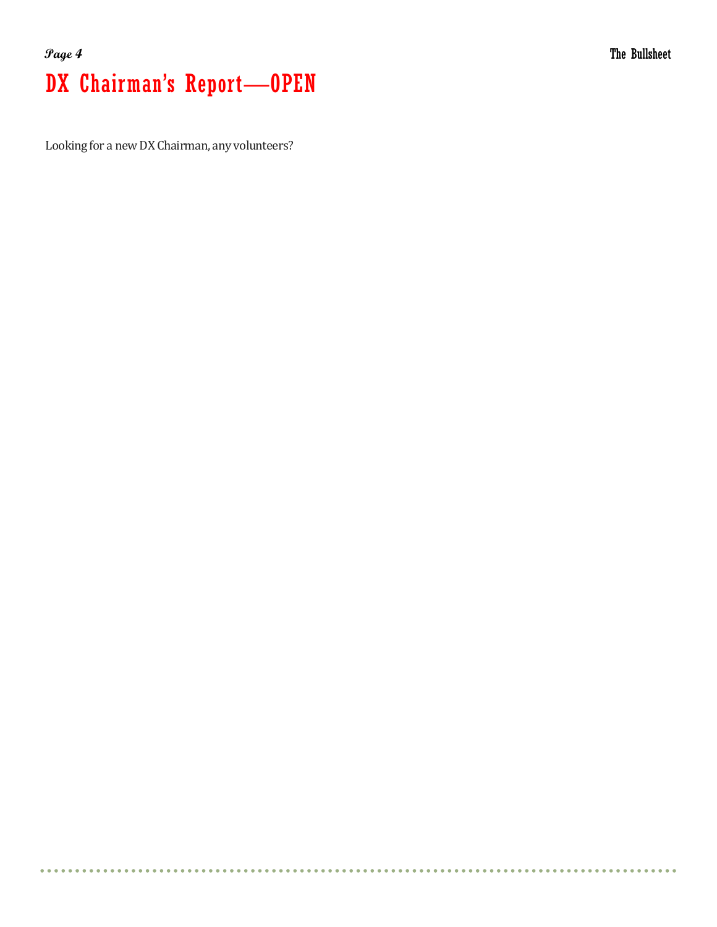## **Page 4** The Bullsheet DX Chairman's Report—OPEN

Looking for a new DX Chairman, any volunteers?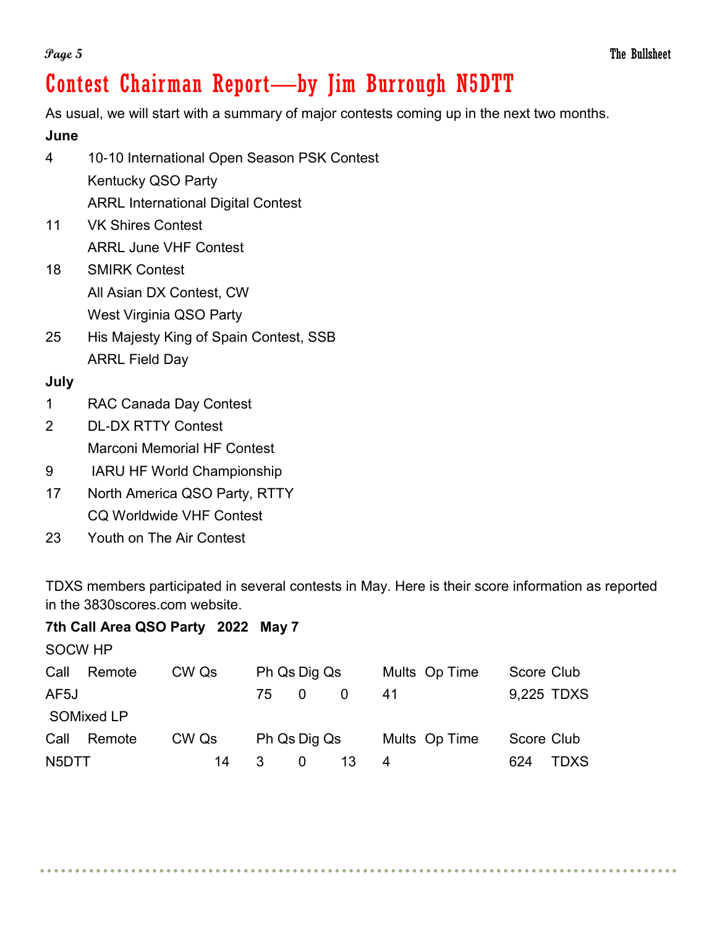As usual, we will start with a summary of major contests coming up in the next two months.

**June**

- 4 10-10 International Open Season PSK Contest Kentucky QSO Party ARRL International Digital Contest
- 11 VK Shires Contest ARRL June VHF Contest
- 18 SMIRK Contest All Asian DX Contest, CW West Virginia QSO Party
- 25 His Majesty King of Spain Contest, SSB ARRL Field Day

### **July**

- 1 RAC Canada Day Contest
- 2 DL-DX RTTY Contest Marconi Memorial HF Contest
- 9 IARU HF World Championship
- 17 North America QSO Party, RTTY CQ Worldwide VHF Contest
- 23 Youth on The Air Contest

TDXS members participated in several contests in May. Here is their score information as reported in the 3830scores.com website.

### **7th Call Area QSO Party 2022 May 7**

| <b>SOCW HP</b> |                   |       |    |              |               |            |            |
|----------------|-------------------|-------|----|--------------|---------------|------------|------------|
| Call           | Remote            | CW Qs |    | Ph Qs Dig Qs | Mults Op Time | Score Club |            |
| AF5J           |                   |       | 75 | 0            | 41            |            | 9,225 TDXS |
|                | <b>SOMixed LP</b> |       |    |              |               |            |            |
| Call           | Remote            | CW Qs |    | Ph Qs Dig Qs | Mults Op Time | Score Club |            |
| N5DTT          |                   | 14    |    |              | 4             | 624        | TDXS       |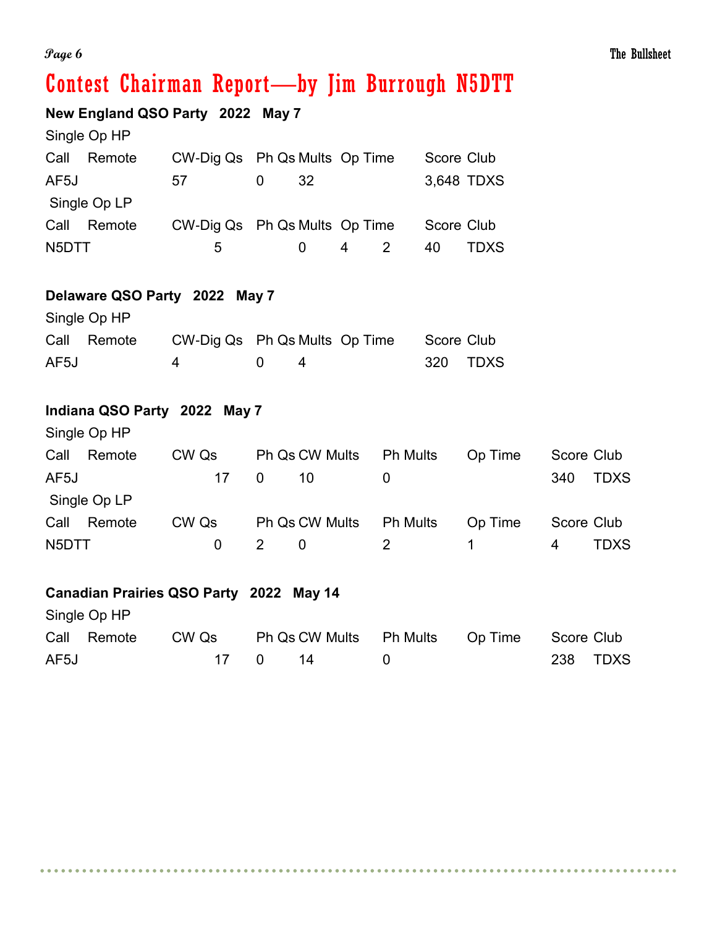**New England QSO Party 2022 May 7**

|       | Single Op HP |                               |   |    |   |            |             |
|-------|--------------|-------------------------------|---|----|---|------------|-------------|
| Call  | Remote       | CW-Dig Qs Ph Qs Mults Op Time |   |    |   | Score Club |             |
| AF5J  |              | 57                            | 0 | 32 |   |            | 3,648 TDXS  |
|       | Single Op LP |                               |   |    |   |            |             |
| Call  | Remote       | CW-Dig Qs Ph Qs Mults Op Time |   |    |   | Score Club |             |
| N5DTT |              | 5                             |   |    | 4 | 40         | <b>TDXS</b> |

### **Delaware QSO Party 2022 May 7**

|      | Single Op HP |                                                                                                                                                                                                                                                                                                            |                                     |  |            |          |
|------|--------------|------------------------------------------------------------------------------------------------------------------------------------------------------------------------------------------------------------------------------------------------------------------------------------------------------------|-------------------------------------|--|------------|----------|
|      | Call Remote  | CW-Dig Qs Ph Qs Mults Op Time                                                                                                                                                                                                                                                                              |                                     |  | Score Club |          |
| AF5J |              | $\mathbf 4$ and $\mathbf 4$ and $\mathbf 4$ and $\mathbf 4$ and $\mathbf 4$ and $\mathbf 4$ and $\mathbf 4$ and $\mathbf 4$ and $\mathbf 4$ and $\mathbf 4$ and $\mathbf 4$ and $\mathbf 4$ and $\mathbf 4$ and $\mathbf 4$ and $\mathbf 4$ and $\mathbf 4$ and $\mathbf 4$ and $\mathbf 4$ and $\mathbf $ | $\begin{matrix} 0 & 1 \end{matrix}$ |  |            | 320 TDXS |

### **Indiana QSO Party 2022 May 7**

| Single Op HP   |          |                |                 |         |                    |
|----------------|----------|----------------|-----------------|---------|--------------------|
| Call<br>Remote | CW Qs    | Ph Qs CW Mults | <b>Ph Mults</b> | Op Time | Score Club         |
| AF5J           | 17       | $\Omega$<br>10 |                 |         | <b>TDXS</b><br>340 |
| Single Op LP   |          |                |                 |         |                    |
| Call<br>Remote | CW Qs    | Ph Qs CW Mults | <b>Ph Mults</b> | Op Time | Score Club         |
| N5DTT          | $\Omega$ | 0              | $\mathcal{P}$   |         | TDXS<br>4          |

### **Canadian Prairies QSO Party 2022 May 14**

Single Op HP Call Remote CW Qs Ph Qs CW Mults Ph Mults Op Time Score Club AF5J 17 0 14 0 238 TDXS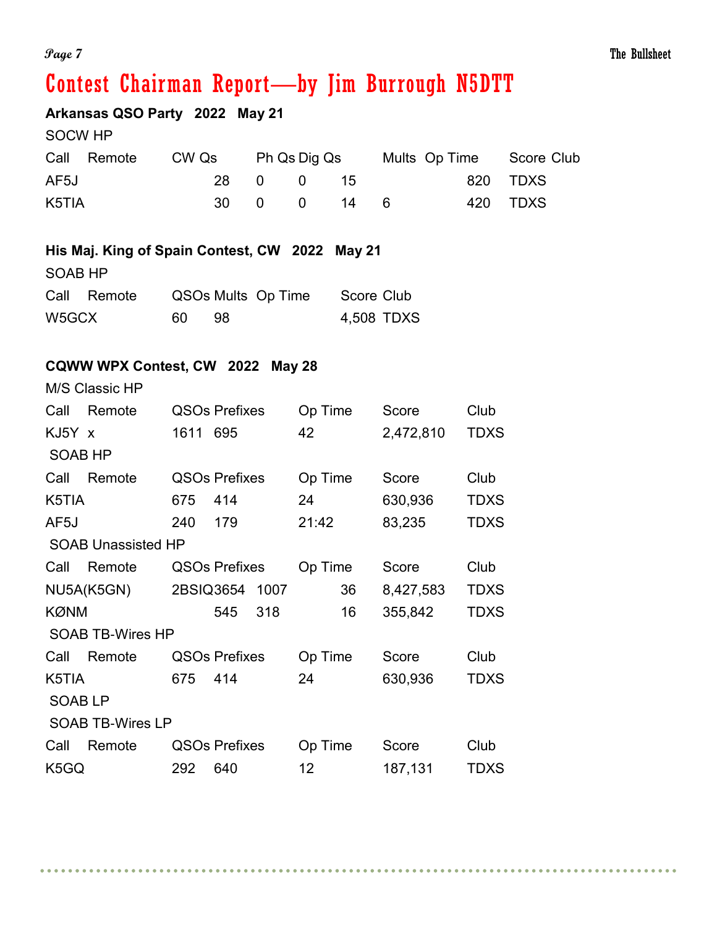## **Arkansas QSO Party 2022 May 21**

|       | Call Remote | CW Qs | Ph Qs Dig Qs |             |  | Mults Op Time Score Club |
|-------|-------------|-------|--------------|-------------|--|--------------------------|
| AF5J  |             |       | 28 0 0 15    |             |  | 820 TDXS                 |
| K5TIA |             |       |              | 30 0 0 14 6 |  | 420 TDXS                 |

### **His Maj. King of Spain Contest, CW 2022 May 21**

| SOAB HP |  |  |
|---------|--|--|
|         |  |  |

|       | Call Remote | QSOs Mults Op Time | Score Club |
|-------|-------------|--------------------|------------|
| W5GCX |             | - 98               | 4,508 TDXS |

### **CQWW WPX Contest, CW 2022 May 28**

M/S Classic HP

| Call           | Remote                    |          | <b>QSOs Prefixes</b> |     | Op Time         |    | Score     | Club        |
|----------------|---------------------------|----------|----------------------|-----|-----------------|----|-----------|-------------|
| KJ5Y x         |                           | 1611 695 |                      |     | 42              |    | 2,472,810 | <b>TDXS</b> |
| <b>SOAB HP</b> |                           |          |                      |     |                 |    |           |             |
| Call           | Remote                    |          | <b>QSOs Prefixes</b> |     | Op Time         |    | Score     | Club        |
| K5TIA          |                           | 675      | 414                  |     | 24              |    | 630,936   | <b>TDXS</b> |
| AF5J           |                           | 240      | 179                  |     | 21:42           |    | 83,235    | <b>TDXS</b> |
|                | <b>SOAB Unassisted HP</b> |          |                      |     |                 |    |           |             |
| Call           | Remote                    |          | <b>QSOs Prefixes</b> |     | Op Time         |    | Score     | Club        |
|                | NU5A(K5GN)                |          | 2BSIQ3654 1007       |     |                 | 36 | 8,427,583 | <b>TDXS</b> |
| <b>KØNM</b>    |                           |          | 545                  | 318 |                 | 16 | 355,842   | <b>TDXS</b> |
|                | <b>SOAB TB-Wires HP</b>   |          |                      |     |                 |    |           |             |
| Call           | Remote                    |          | <b>QSOs Prefixes</b> |     | Op Time         |    | Score     | Club        |
| K5TIA          |                           | 675      | 414                  |     | 24              |    | 630,936   | <b>TDXS</b> |
| <b>SOABLP</b>  |                           |          |                      |     |                 |    |           |             |
|                | <b>SOAB TB-Wires LP</b>   |          |                      |     |                 |    |           |             |
| Call           | Remote                    |          | <b>QSOs Prefixes</b> |     | Op Time         |    | Score     | Club        |
| K5GQ           |                           | 292      | 640                  |     | 12 <sub>2</sub> |    | 187,131   | <b>TDXS</b> |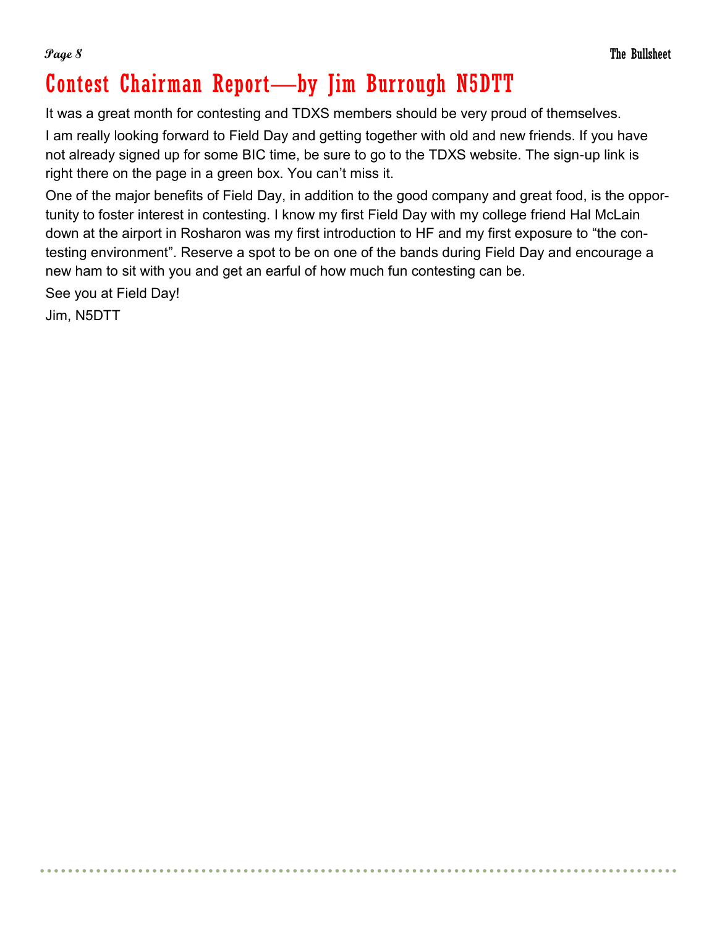It was a great month for contesting and TDXS members should be very proud of themselves.

I am really looking forward to Field Day and getting together with old and new friends. If you have not already signed up for some BIC time, be sure to go to the TDXS website. The sign-up link is right there on the page in a green box. You can't miss it.

One of the major benefits of Field Day, in addition to the good company and great food, is the opportunity to foster interest in contesting. I know my first Field Day with my college friend Hal McLain down at the airport in Rosharon was my first introduction to HF and my first exposure to "the contesting environment". Reserve a spot to be on one of the bands during Field Day and encourage a new ham to sit with you and get an earful of how much fun contesting can be.

See you at Field Day!

Jim, N5DTT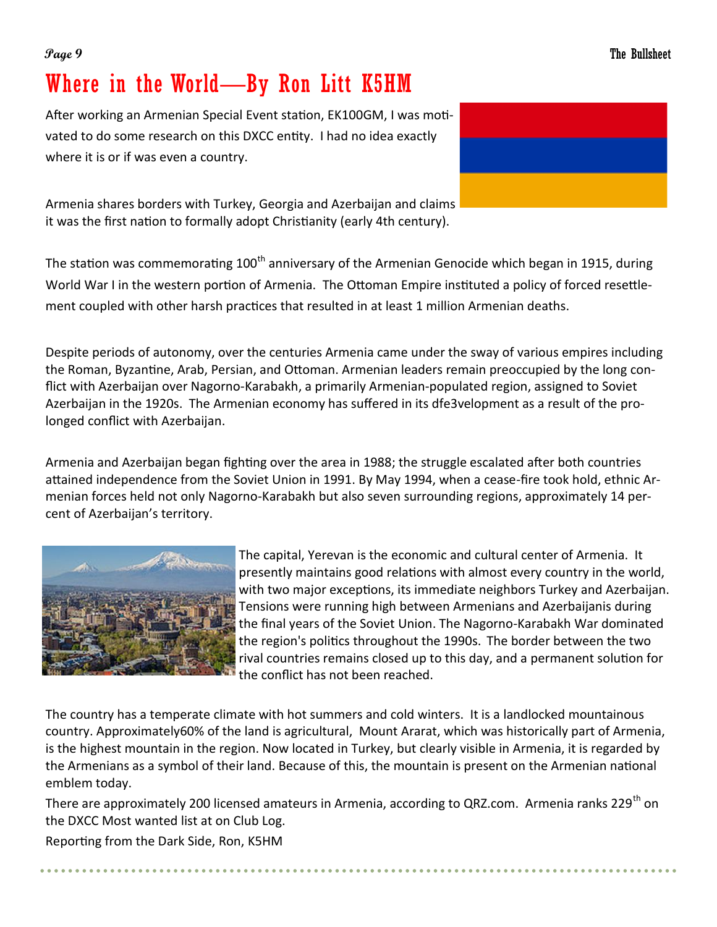## Where in the World—By Ron Litt K5HM

After working an Armenian Special Event station, EK100GM, I was motivated to do some research on this DXCC entity. I had no idea exactly where it is or if was even a country.

Armenia shares borders with Turkey, Georgia and Azerbaijan and claims it was the first nation to formally adopt Christianity (early 4th century).

The station was commemorating 100<sup>th</sup> anniversary of the Armenian Genocide which began in 1915, during World War I in the western portion of Armenia. The Ottoman Empire instituted a policy of forced resettlement coupled with other harsh practices that resulted in at least 1 million Armenian deaths.

Despite periods of autonomy, over the centuries Armenia came under the sway of various empires including the Roman, Byzantine, Arab, Persian, and Ottoman. Armenian leaders remain preoccupied by the long conflict with Azerbaijan over Nagorno-Karabakh, a primarily Armenian-populated region, assigned to Soviet Azerbaijan in the 1920s. The Armenian economy has suffered in its dfe3velopment as a result of the prolonged conflict with Azerbaijan.

Armenia and Azerbaijan began fighting over the area in 1988; the struggle escalated after both countries attained independence from the Soviet Union in 1991. By May 1994, when a cease-fire took hold, ethnic Armenian forces held not only Nagorno-Karabakh but also seven surrounding regions, approximately 14 percent of Azerbaijan's territory.



The capital, Yerevan is the economic and cultural center of Armenia. It presently maintains good relations with almost every country in the world, with two major exceptions, its immediate neighbors Turkey and Azerbaijan. Tensions were running high between Armenians and Azerbaijanis during the final years of the Soviet Union. The Nagorno-Karabakh War dominated the region's politics throughout the 1990s. The border between the two rival countries remains closed up to this day, and a permanent solution for the conflict has not been reached.

The country has a temperate climate with hot summers and cold winters. It is a landlocked mountainous country. Approximately60% of the land is agricultural, Mount Ararat, which was historically part of Armenia, is the highest mountain in the region. Now located in Turkey, but clearly visible in Armenia, it is regarded by the Armenians as a symbol of their land. Because of this, the mountain is present on the Armenian national emblem today.

There are approximately 200 licensed amateurs in Armenia, according to QRZ.com. Armenia ranks 229<sup>th</sup> on the DXCC Most wanted list at on Club Log.

Reporting from the Dark Side, Ron, K5HM

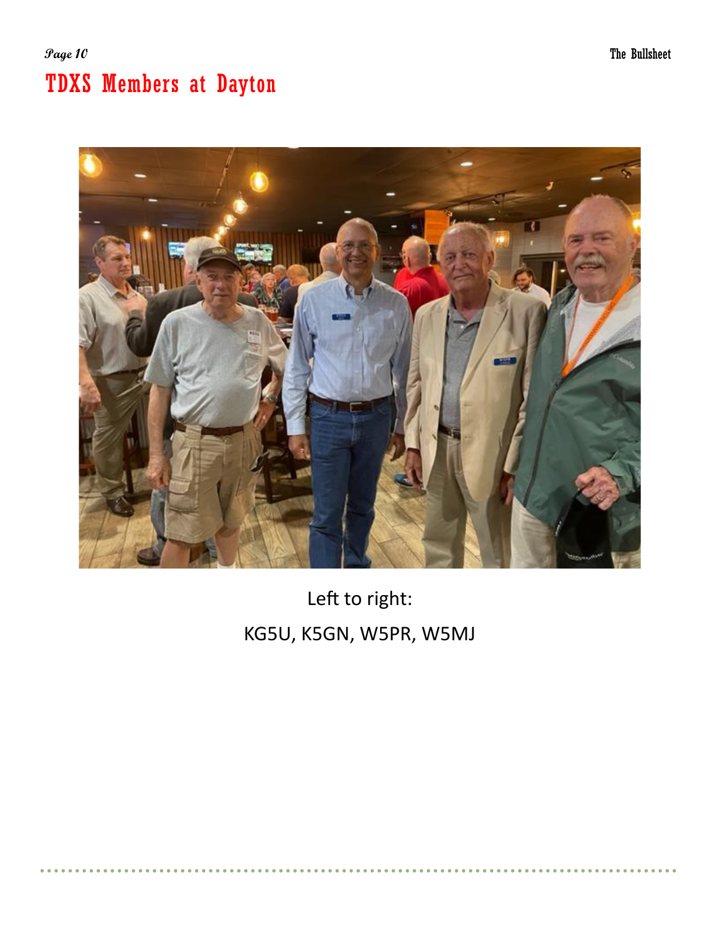## **Page 10** The Bullsheet TDXS Members at Dayton



Left to right: KG5U, K5GN, W5PR, W5MJ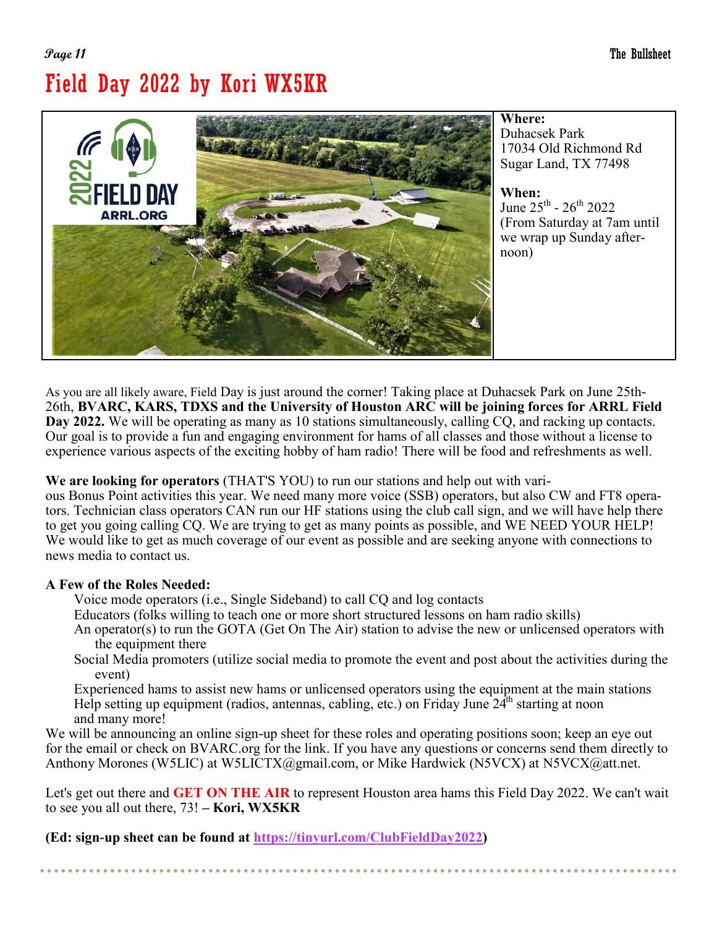## **Page 11** The Bullsheet Field Day 2022 by Kori WX5KR



Duhacsek Park 17034 Old Richmond Rd Sugar Land, TX 77498

June  $25^{\text{th}}$  -  $26^{\text{th}}$   $2022$ (From Saturday at 7am until we wrap up Sunday after-

As you are all likely aware, Field Day is just around the corner! Taking place at Duhacsek Park on June 25th-26th, **BVARC, KARS, TDXS and the University of Houston ARC will be joining forces for ARRL Field Day 2022.** We will be operating as many as 10 stations simultaneously, calling CQ, and racking up contacts. Our goal is to provide a fun and engaging environment for hams of all classes and those without a license to experience various aspects of the exciting hobby of ham radio! There will be food and refreshments as well.

**We are looking for operators** (THAT'S YOU) to run our stations and help out with vari-

ous Bonus Point activities this year. We need many more voice (SSB) operators, but also CW and FT8 operators. Technician class operators CAN run our HF stations using the club call sign, and we will have help there to get you going calling CQ. We are trying to get as many points as possible, and WE NEED YOUR HELP! We would like to get as much coverage of our event as possible and are seeking anyone with connections to news media to contact us.

### **A Few of the Roles Needed:**

Voice mode operators (i.e., Single Sideband) to call CQ and log contacts

- Educators (folks willing to teach one or more short structured lessons on ham radio skills)
- An operator(s) to run the GOTA (Get On The Air) station to advise the new or unlicensed operators with the equipment there
- Social Media promoters (utilize social media to promote the event and post about the activities during the event)

Experienced hams to assist new hams or unlicensed operators using the equipment at the main stations Help setting up equipment (radios, antennas, cabling, etc.) on Friday June  $24<sup>th</sup>$  starting at noon and many more!

We will be announcing an online sign-up sheet for these roles and operating positions soon; keep an eye out for the email or check on BVARC.org for the link. If you have any questions or concerns send them directly to Anthony Morones (W5LIC) at W5LICTX@gmail.com, or Mike Hardwick (N5VCX) at N5VCX@att.net.

Let's get out there and **GET ON THE AIR** to represent Houston area hams this Field Day 2022. We can't wait to see you all out there, 73! **– Kori, WX5KR**

**(Ed: sign-up sheet can be found at [https://tinyurl.com/ClubFieldDay2022\)](https://tinyurl.com/ClubFieldDay2022)**